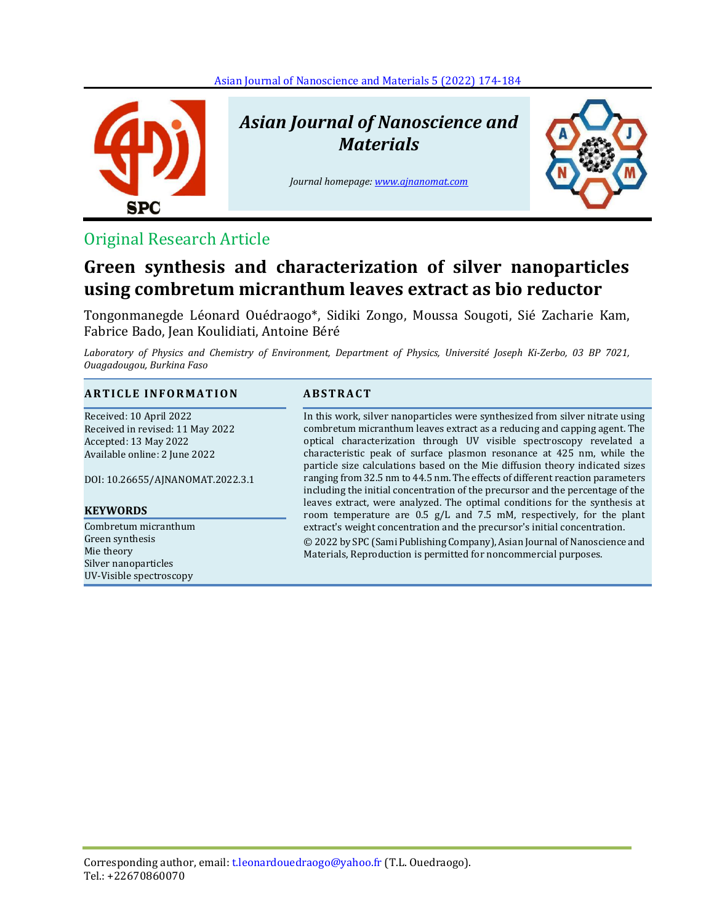

# *Asian Journal of Nanoscience and Materials*

*Journal homepage[: www.ajnanomat.com](file:///C:/Users/User/Documents/Bluetooth%20Exchange%20Folder/www.ajnanomat.com)*



### Original Research Article

## **Green synthesis and characterization of silver nanoparticles using combretum micranthum leaves extract as bio reductor**

Tongonmanegde Léonard Ouédraogo\*, Sidiki Zongo, Moussa Sougoti, Sié Zacharie Kam, Fabrice Bado, Jean Koulidiati, Antoine Béré

*Laboratory of Physics and Chemistry of Environment, Department of Physics, Université Joseph Ki-Zerbo, 03 BP 7021, Ouagadougou, Burkina Faso* 

### **A R T I C L E I N F O R M A T I O N A B S T R A C T**

Received: 10 April 2022 Received in revised: 11 May 2022 Accepted: 13 May 2022 Available online: 2 June 2022

DOI: 10.26655/AJNANOMAT.2022.3.1

#### **KEYWORDS**

Combretum micranthum Green synthesis Mie theory Silver nanoparticles UV-Visible spectroscopy

In this work, silver nanoparticles were synthesized from silver nitrate using combretum micranthum leaves extract as a reducing and capping agent. The optical characterization through UV visible spectroscopy revelated a characteristic peak of surface plasmon resonance at 425 nm, while the particle size calculations based on the Mie diffusion theory indicated sizes ranging from 32.5 nm to 44.5 nm. The effects of different reaction parameters including the initial concentration of the precursor and the percentage of the leaves extract, were analyzed. The optimal conditions for the synthesis at room temperature are 0.5 g/L and 7.5 mM, respectively, for the plant extract's weight concentration and the precursor's initial concentration. © 2022 by SPC (Sami Publishing Company), Asian Journal of Nanoscience and Materials, Reproduction is permitted for noncommercial purposes.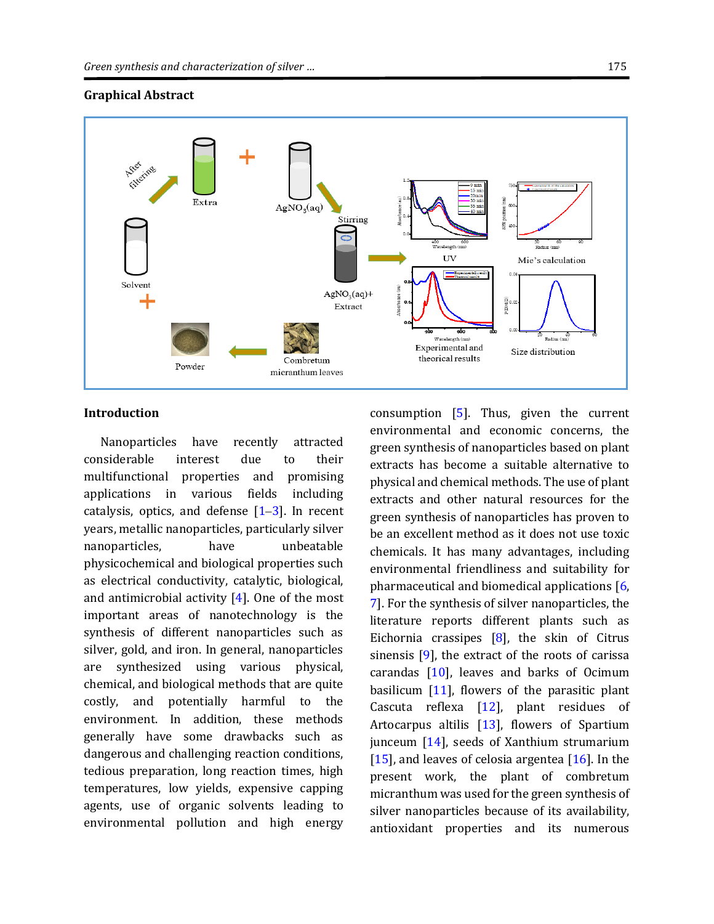### **Graphical Abstract**



#### **Introduction**

Nanoparticles have recently attracted considerable interest due to their multifunctional properties and promising applications in various fields including catalysis, optics, and defense  $[1-3]$  $[1-3]$  $[1-3]$ . In recent years, metallic nanoparticles, particularly silver nanoparticles, have unbeatable physicochemical and biological properties such as electrical conductivity, catalytic, biological, and antimicrobial activity  $[4]$ . One of the most important areas of nanotechnology is the synthesis of different nanoparticles such as silver, gold, and iron. In general, nanoparticles are synthesized using various physical, chemical, and biological methods that are quite costly, and potentially harmful to the environment. In addition, these methods generally have some drawbacks such as dangerous and challenging reaction conditions, tedious preparation, long reaction times, high temperatures, low yields, expensive capping agents, use of organic solvents leading to environmental pollution and high energy

consumption [\[5\]](#page-9-0). Thus, given the current environmental and economic concerns, the green synthesis of nanoparticles based on plant extracts has become a suitable alternative to physical and chemical methods. The use of plant extracts and other natural resources for the green synthesis of nanoparticles has proven to be an excellent method as it does not use toxic chemicals. It has many advantages, including environmental friendliness and suitability for pharmaceutical and biomedical applications [\[6,](#page-9-1) [7\]](#page-9-2). For the synthesis of silver nanoparticles, the literature reports different plants such as Eichornia crassipes [\[8\]](#page-9-3), the skin of Citrus sinensis [\[9\]](#page-9-4), the extract of the roots of carissa carandas  $[10]$ , leaves and barks of Ocimum basilicum  $[11]$ , flowers of the parasitic plant Cascuta reflexa  $[12]$ , plant residues of Artocarpus altilis  $[13]$ , flowers of Spartium junceum [\[14\]](#page-9-9), seeds of Xanthium strumarium [\[15\]](#page-9-10), and leaves of celosia argentea  $[16]$ . In the present work, the plant of combretum micranthum was used for the green synthesis of silver nanoparticles because of its availability, antioxidant properties and its numerous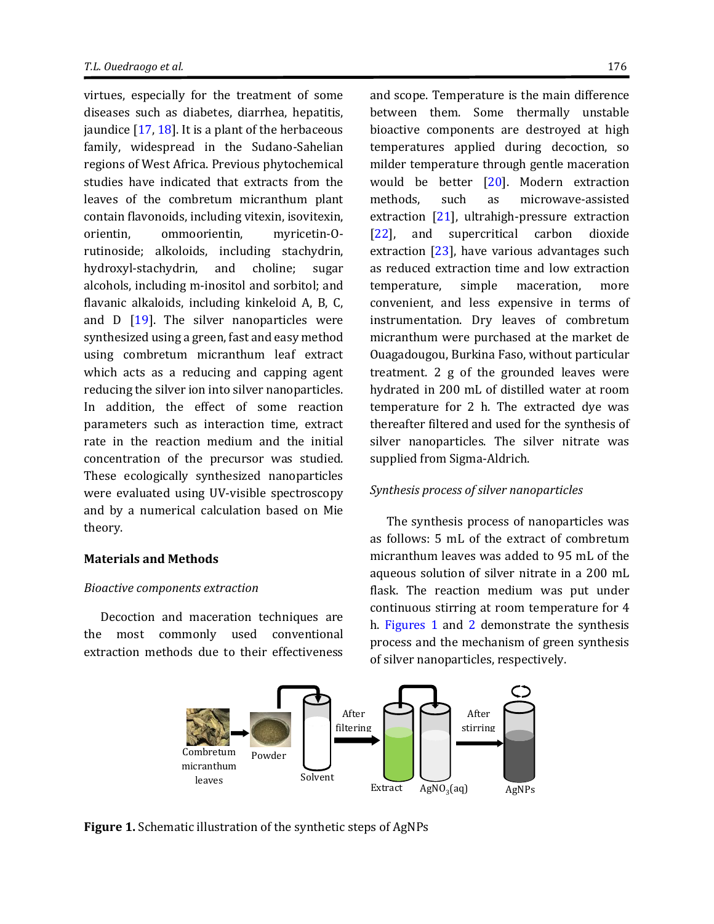virtues, especially for the treatment of some diseases such as diabetes, diarrhea, hepatitis, jaundice  $[17, 18]$  $[17, 18]$ . It is a plant of the herbaceous family, widespread in the Sudano-Sahelian regions of West Africa. Previous phytochemical studies have indicated that extracts from the leaves of the combretum micranthum plant contain flavonoids, including vitexin, isovitexin, orientin, ommoorientin, myricetin-Orutinoside; alkoloids, including stachydrin, hydroxyl-stachydrin, and choline; sugar alcohols, including m-inositol and sorbitol; and flavanic alkaloids, including kinkeloid A, B, C, and D [\[19\]](#page-9-14). The silver nanoparticles were synthesized using a green, fast and easy method using combretum micranthum leaf extract which acts as a reducing and capping agent reducing the silver ion into silver nanoparticles. In addition, the effect of some reaction parameters such as interaction time, extract rate in the reaction medium and the initial concentration of the precursor was studied. These ecologically synthesized nanoparticles were evaluated using UV-visible spectroscopy and by a numerical calculation based on Mie theory.

#### **Materials and Methods**

#### *Bioactive components extraction*

Decoction and maceration techniques are the most commonly used conventional extraction methods due to their effectiveness and scope. Temperature is the main difference between them. Some thermally unstable bioactive components are destroyed at high temperatures applied during decoction, so milder temperature through gentle maceration would be better [\[20\]](#page-9-15). Modern extraction methods, such as microwave-assisted extraction [\[21\]](#page-9-16), ultrahigh-pressure extraction [\[22\]](#page-9-17), and supercritical carbon dioxide extraction [\[23\]](#page-9-18), have various advantages such as reduced extraction time and low extraction temperature, simple maceration, more convenient, and less expensive in terms of instrumentation. Dry leaves of combretum micranthum were purchased at the market de Ouagadougou, Burkina Faso, without particular treatment. 2 g of the grounded leaves were hydrated in 200 mL of distilled water at room temperature for 2 h. The extracted dye was thereafter filtered and used for the synthesis of silver nanoparticles. The silver nitrate was supplied from Sigma-Aldrich.

#### *Synthesis process of silver nanoparticles*

The synthesis process of nanoparticles was as follows: 5 mL of the extract of combretum micranthum leaves was added to 95 mL of the aqueous solution of silver nitrate in a 200 mL flask. The reaction medium was put under continuous stirring at room temperature for 4 h. [Figures 1](#page-2-0) and [2](#page-3-0) demonstrate the synthesis process and the mechanism of green synthesis of silver nanoparticles, respectively.



<span id="page-2-0"></span>**Figure 1.** Schematic illustration of the synthetic steps of AgNPs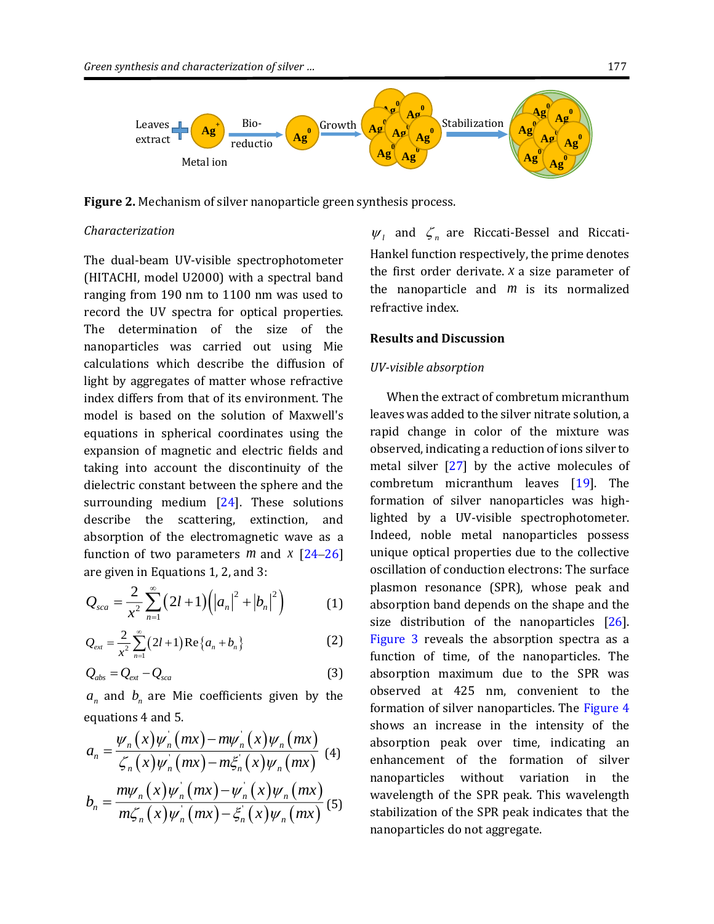

<span id="page-3-0"></span>**Figure 2.** Mechanism of silver nanoparticle green synthesis process.

#### *Characterization*

The dual-beam UV-visible spectrophotometer (HITACHI, model U2000) with a spectral band ranging from 190 nm to 1100 nm was used to record the UV spectra for optical properties. The determination of the size of the nanoparticles was carried out using Mie calculations which describe the diffusion of light by aggregates of matter whose refractive index differs from that of its environment. The model is based on the solution of Maxwell's equations in spherical coordinates using the expansion of magnetic and electric fields and taking into account the discontinuity of the dielectric constant between the sphere and the surrounding medium [\[24\]](#page-9-19). These solutions describe the scattering, extinction, and absorption of the electromagnetic wave as a function of two parameters  $m$  and  $\bar{x}$  [\[24](#page-9-19)–[26\]](#page-9-20) are given in Equations 1, 2, and 3:

$$
Q_{sca} = \frac{2}{x^2} \sum_{n=1}^{\infty} (2l+1) (|a_n|^2 + |b_n|^2)
$$
 (1)

$$
Q_{ext} = \frac{2}{x^2} \sum_{n=1}^{\infty} (2l+1) \operatorname{Re} \{ a_n + b_n \}
$$
 (2)

$$
Q_{\text{abs}} = Q_{\text{ext}} - Q_{\text{scat}} \tag{3}
$$

 $a_n$  and  $b_n$  are Mie coefficients given by the equations 4 and 5.

$$
a_n = \frac{\psi_n(x)\psi_n(mx) - m\psi_n(x)\psi_n(mx)}{\zeta_n(x)\psi_n(mx) - m\zeta_n(x)\psi_n(mx)}
$$
(4)  

$$
b_n = \frac{m\psi_n(x)\psi_n(mx) - \psi_n(x)\psi_n(mx)}{m\zeta_n(x)\psi_n(mx) - \zeta_n(x)\psi_n(mx)}
$$
(5)

 $\psi_i$  and  $\zeta_n$  are Riccati-Bessel and Riccati-Hankel function respectively, the prime denotes the first order derivate.  $x$  a size parameter of the nanoparticle and *m* is its normalized refractive index.

#### **Results and Discussion**

#### *UV-visible absorption*

When the extract of combretum micranthum leaves was added to the silver nitrate solution, a rapid change in color of the mixture was observed, indicating a reduction of ions silver to metal silver [\[27\]](#page-9-21) by the active molecules of combretum micranthum leaves [\[19\]](#page-9-14). The formation of silver nanoparticles was highlighted by a UV-visible spectrophotometer. Indeed, noble metal nanoparticles possess unique optical properties due to the collective oscillation of conduction electrons: The surface plasmon resonance (SPR), whose peak and absorption band depends on the shape and the size distribution of the nanoparticles [\[26\]](#page-9-20). [Figure 3](#page-4-0) reveals the absorption spectra as a function of time, of the nanoparticles. The absorption maximum due to the SPR was observed at 425 nm, convenient to the formation of silver nanoparticles. The [Figure 4](#page-4-1) shows an increase in the intensity of the absorption peak over time, indicating an enhancement of the formation of silver nanoparticles without variation in the wavelength of the SPR peak. This wavelength stabilization of the SPR peak indicates that the nanoparticles do not aggregate.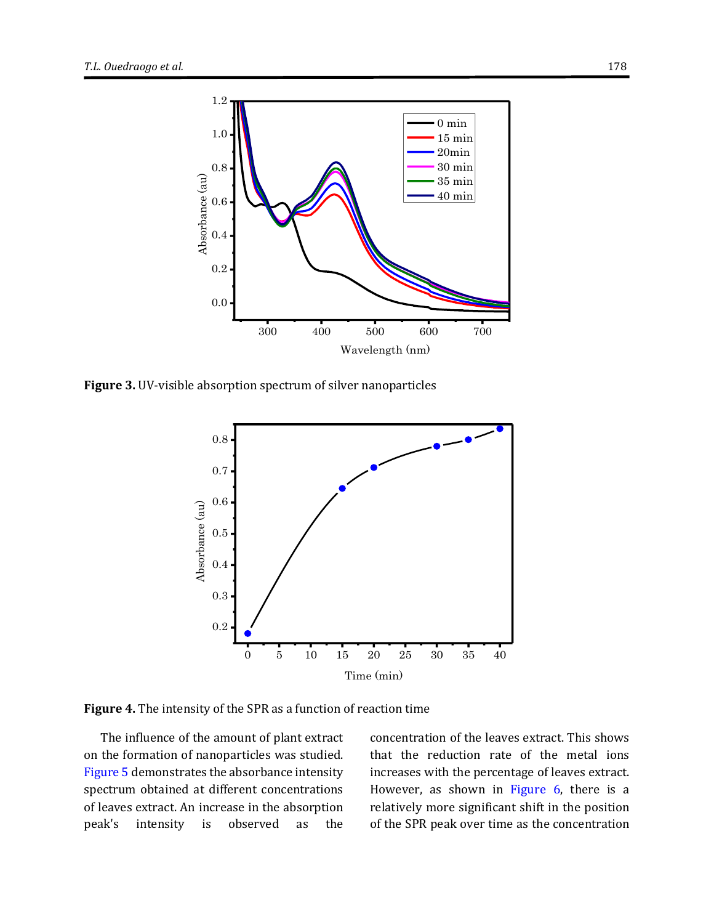

<span id="page-4-0"></span>**Figure 3.** UV-visible absorption spectrum of silver nanoparticles



<span id="page-4-1"></span>**Figure 4.** The intensity of the SPR as a function of reaction time

The influence of the amount of plant extract on the formation of nanoparticles was studied. [Figure 5](#page-5-0) demonstrates the absorbance intensity spectrum obtained at different concentrations of leaves extract. An increase in the absorption peak's intensity is observed as the

concentration of the leaves extract. This shows that the reduction rate of the metal ions increases with the percentage of leaves extract. However, as shown in [Figure 6,](#page-5-1) there is a relatively more significant shift in the position of the SPR peak over time as the concentration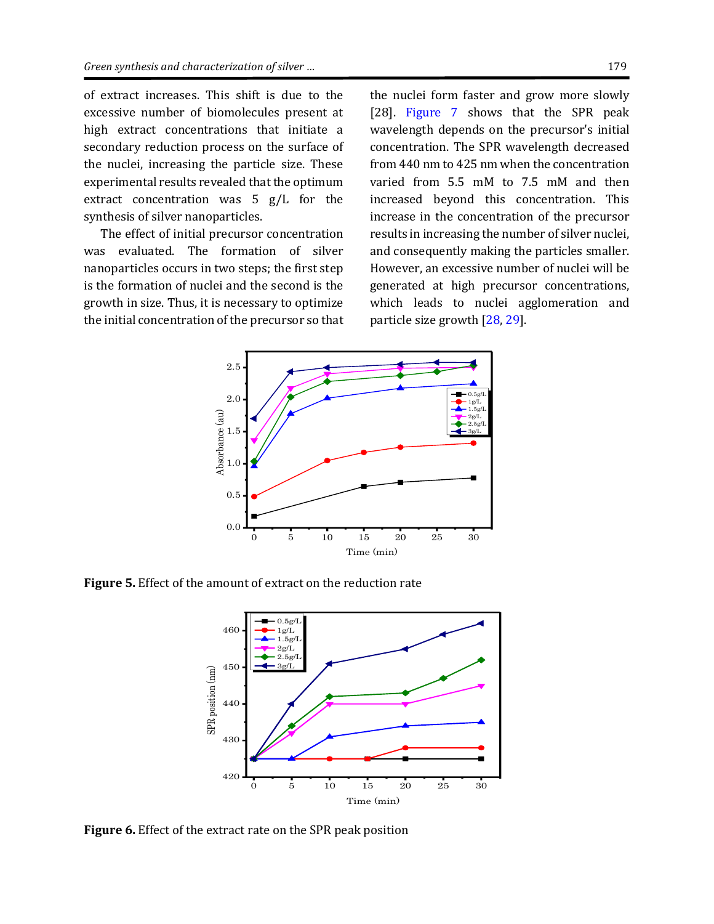of extract increases. This shift is due to the excessive number of biomolecules present at high extract concentrations that initiate a secondary reduction process on the surface of the nuclei, increasing the particle size. These experimental results revealed that the optimum extract concentration was 5 g/L for the synthesis of silver nanoparticles.

The effect of initial precursor concentration was evaluated. The formation of silver nanoparticles occurs in two steps; the first step is the formation of nuclei and the second is the growth in size. Thus, it is necessary to optimize the initial concentration of the precursor so that

the nuclei form faster and grow more slowly [28]. [Figure 7](#page-6-0) shows that the SPR peak wavelength depends on the precursor's initial concentration. The SPR wavelength decreased from 440 nm to 425 nm when the concentration varied from 5.5 mM to 7.5 mM and then increased beyond this concentration. This increase in the concentration of the precursor results in increasing the number of silver nuclei, and consequently making the particles smaller. However, an excessive number of nuclei will be generated at high precursor concentrations, which leads to nuclei agglomeration and particle size growth [\[28,](#page-9-22) [29\]](#page-9-23).



<span id="page-5-0"></span>**Figure 5.** Effect of the amount of extract on the reduction rate



<span id="page-5-1"></span>**Figure 6.** Effect of the extract rate on the SPR peak position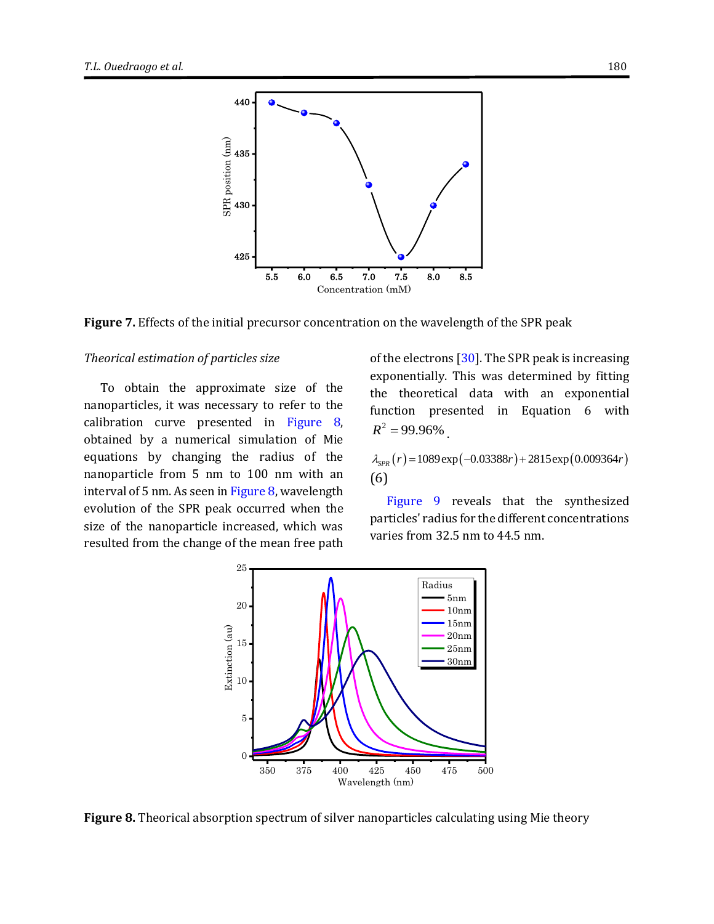

<span id="page-6-0"></span>**Figure 7.** Effects of the initial precursor concentration on the wavelength of the SPR peak

#### *Theorical estimation of particles size*

To obtain the approximate size of the nanoparticles, it was necessary to refer to the calibration curve presented in [Figure 8,](#page-6-1)  obtained by a numerical simulation of Mie equations by changing the radius of the nanoparticle from 5 nm to 100 nm with an interval of 5 nm. As seen i[n Figure 8,](#page-6-1) wavelength evolution of the SPR peak occurred when the size of the nanoparticle increased, which was resulted from the change of the mean free path of the electrons [\[30\]](#page-9-24). The SPR peak is increasing exponentially. This was determined by fitting the theoretical data with an exponential function presented in Equation 6 with  $R^2 = 99.96\%$ 

 $\lambda_{SPR}(r) = 1089 \exp(-0.03388r) + 2815 \exp(0.009364r)$ (6)

[Figure 9](#page-7-0) reveals that the synthesized particles' radius for the different concentrations varies from 32.5 nm to 44.5 nm.



<span id="page-6-1"></span>**Figure 8.** Theorical absorption spectrum of silver nanoparticles calculating using Mie theory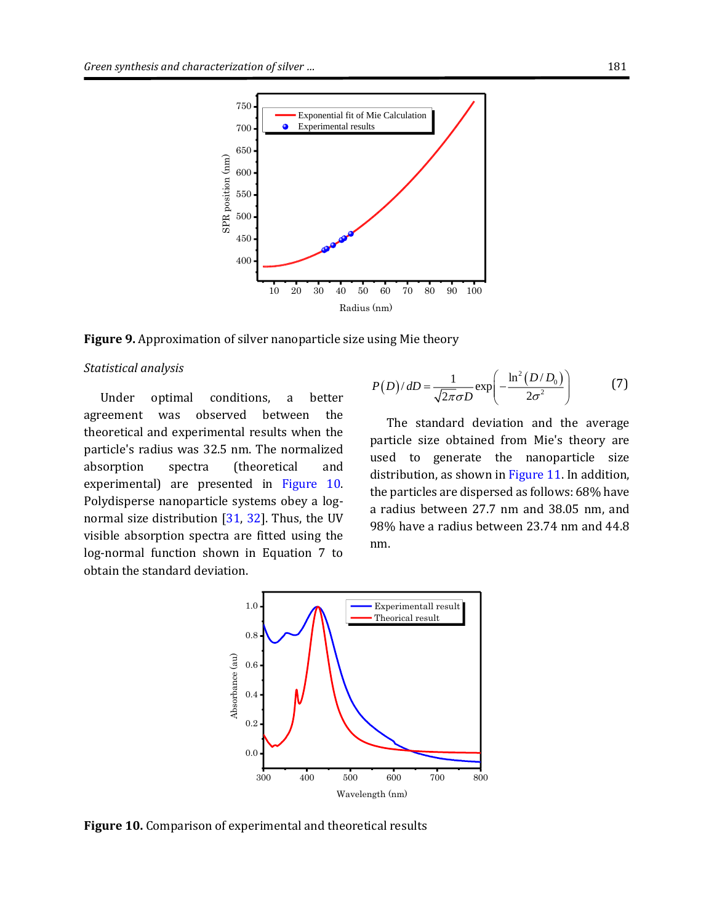

<span id="page-7-0"></span>**Figure 9.** Approximation of silver nanoparticle size using Mie theory

#### *Statistical analysis*

Under optimal conditions, a better agreement was observed between the theoretical and experimental results when the particle's radius was 32.5 nm. The normalized absorption spectra (theoretical and experimental) are presented in [Figure 10.](#page-7-1)  Polydisperse nanoparticle systems obey a lognormal size distribution [\[31,](#page-10-0) [32\]](#page-10-1). Thus, the UV visible absorption spectra are fitted using the log-normal function shown in Equation 7 to obtain the standard deviation.

$$
P(D)/dD = \frac{1}{\sqrt{2\pi}\sigma D} \exp\left(-\frac{\ln^2(D/D_0)}{2\sigma^2}\right)
$$
 (7)

The standard deviation and the average particle size obtained from Mie's theory are used to generate the nanoparticle size distribution, as shown in [Figure 11.](#page-8-3) In addition, the particles are dispersed as follows: 68% have a radius between 27.7 nm and 38.05 nm, and 98% have a radius between 23.74 nm and 44.8 nm.



<span id="page-7-1"></span>**Figure 10.** Comparison of experimental and theoretical results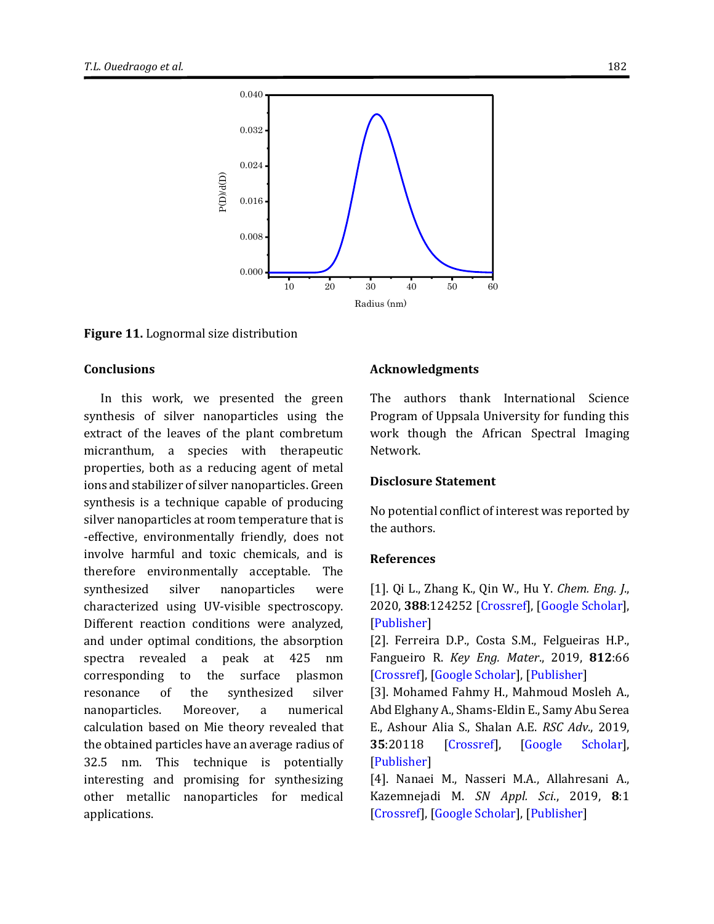

<span id="page-8-3"></span>**Figure 11.** Lognormal size distribution

#### **Conclusions**

In this work, we presented the green synthesis of silver nanoparticles using the extract of the leaves of the plant combretum micranthum, a species with therapeutic properties, both as a reducing agent of metal ions and stabilizer of silver nanoparticles. Green synthesis is a technique capable of producing silver nanoparticles at room temperature that is -effective, environmentally friendly, does not involve harmful and toxic chemicals, and is therefore environmentally acceptable. The synthesized silver nanoparticles were characterized using UV-visible spectroscopy. Different reaction conditions were analyzed, and under optimal conditions, the absorption spectra revealed a peak at 425 nm corresponding to the surface plasmon resonance of the synthesized silver nanoparticles. Moreover, a numerical calculation based on Mie theory revealed that the obtained particles have an average radius of 32.5 nm. This technique is potentially interesting and promising for synthesizing other metallic nanoparticles for medical applications.

#### **Acknowledgments**

The authors thank International Science Program of Uppsala University for funding this work though the African Spectral Imaging Network.

### **Disclosure Statement**

No potential conflict of interest was reported by the authors.

#### **References**

<span id="page-8-0"></span>[1]. Qi L., Zhang K., Qin W., Hu Y. *Chem. Eng. J*., 2020, **388**:124252 [\[Crossref\]](https://doi.org/10.1016/j.cej.2020.124252), [\[Google Scholar\]](https://scholar.google.com/scholar?hl=en&as_sdt=0%2C5&q=Highly+efficient+flow-through+catalytic+reduction+of+methylene+blue+using+silver+nanoparticles+functionalized+cotton&btnG=), [\[Publisher\]](https://www.sciencedirect.com/science/article/abs/pii/S1385894720302436?via%3Dihub)

[2]. Ferreira D.P., Costa S.M., Felgueiras H.P., Fangueiro R. *Key Eng. Mater*., 2019, **812**:66 [\[Crossref\]](https://doi.org/10.4028/www.scientific.net/KEM.812.66), [\[Google Scholar\]](https://scholar.google.com/scholar?hl=en&as_sdt=0%2C5&q=+Smart+and+Sustainable+Materials+for+Military+Applications+Based+on+Natural+Fibres+and+Silver+Nanoparticles&btnG=), [\[Publisher\]](https://www.scientific.net/KEM.812.66)

<span id="page-8-1"></span>[3]. Mohamed Fahmy H., Mahmoud Mosleh A., Abd Elghany A., Shams-Eldin E., Samy Abu Serea E., Ashour Alia S., Shalan A.E. *RSC Adv*., 2019, **35**:20118 [\[Crossref\]](https://doi.org/10.1039/C9RA02907A), [\[Google Scholar\]](https://scholar.google.com/scholar?hl=en&as_sdt=0%2C5&q=+Coated+silver+nanoparticles%3A+synthesis%2C+cytotoxicity%2C+and+optical+properties+&btnG=), [\[Publisher\]](https://pubs.rsc.org/en/content/articlelanding/2019/ra/c9ra02907a)

<span id="page-8-2"></span>[4]. Nanaei M., Nasseri M.A., Allahresani A., Kazemnejadi M. *SN Appl. Sci*., 2019, **8**:1 [\[Crossref\]](https://doi.org/10.1007/s42452-019-0895-4), [\[Google Scholar\]](https://scholar.google.com/scholar?hl=en&as_sdt=0%2C5&q=Phoenix+dactylifera+L.+extract%3A+antioxidant+activity+and+its+application+for+green+biosynthesis+of+Ag+nanoparticles+as+a+recyclable+nanocatalyst+for+4-nitrophenol+reduction&btnG=), [\[Publisher\]](https://link.springer.com/article/10.1007/s42452-019-0895-4#citeas)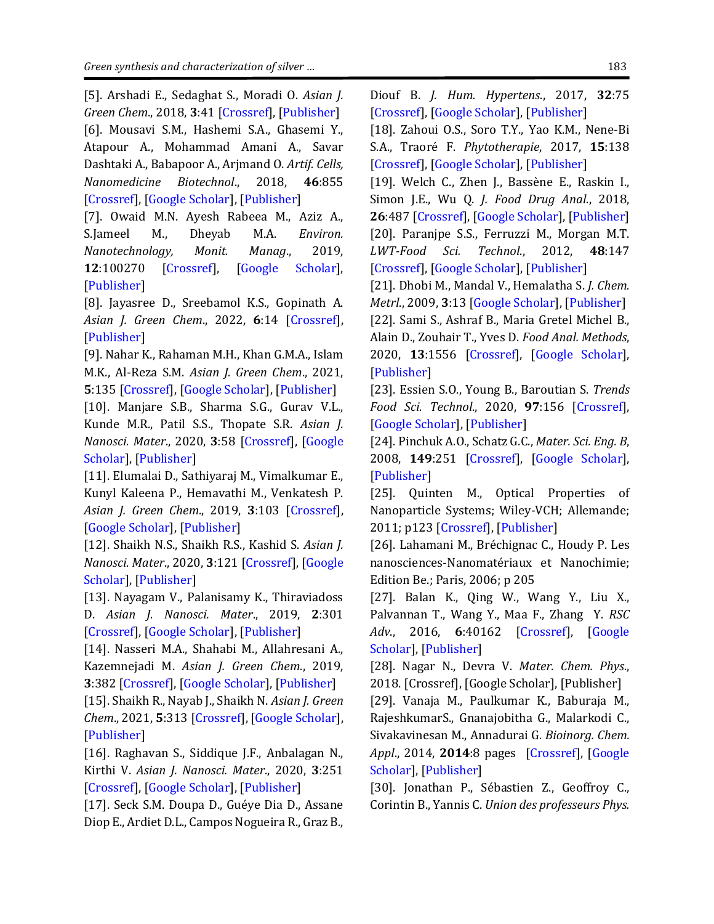<span id="page-9-1"></span><span id="page-9-0"></span>[5]. Arshadi E., Sedaghat S., Moradi O. *Asian J. Green Chem*., 2018, **3**:41 [\[Crossref\]](http://dx.doi.org/10.22631/ajgc.2017.96293.1020), [\[Publisher\]](http://www.ajgreenchem.com/article_53163.html) [6]. Mousavi S.M., Hashemi S.A., Ghasemi Y., Atapour A., Mohammad Amani A., Savar Dashtaki A., Babapoor A., Arjmand O. *Artif. Cells, Nanomedicine Biotechnol*., 2018, **46**:855 [\[Crossref\]](https://doi.org/10.1080/21691401.2018.1517769), [\[Google Scholar\]](https://scholar.google.com/scholar?hl=en&as_sdt=0%2C5&q=Mousavi+S.M.+et+al.%2C+Artif.+Cells%2C+Nanomedicine+Biotechnol.%2C+2018%2C+46%3A855+&btnG=), [\[Publisher\]](https://www.tandfonline.com/doi/pdf/10.1080/21691401.2018.1517769?needAccess=true)

<span id="page-9-2"></span>[7]. Owaid M.N. Ayesh Rabeea M., Aziz A., S.Jameel M., Dheyab M.A. *Environ. Nanotechnology, Monit. Manag*., 2019, **12**:100270 [\[Crossref\]](https://doi.org/10.1016/j.enmm.2019.100270), [\[Google Scholar\]](https://scholar.google.com/scholar?hl=en&as_sdt=0%2C5&q=Mushroom-assisted+synthesis+of+triangle+gold+nanoparticles+using+the+aqueous+extract+of+fresh+Lentinula+edodes+%28shiitake%29%2C+Omphalotaceae&btnG=), [\[Publisher\]](https://www.sciencedirect.com/science/article/abs/pii/S2215153219301965?via%3Dihub)

<span id="page-9-3"></span>[8]. Jayasree D., Sreebamol K.S., Gopinath A. *Asian J. Green Chem*., 2022, **6**:14 [\[Crossref\]](http://dx.doi.org/10.22034/ajgc.2022.1.2), [\[Publisher\]](http://www.ajgreenchem.com/article_144555.html)

<span id="page-9-4"></span>[9]. Nahar K., Rahaman M.H., Khan G.M.A., Islam M.K., Al-Reza S.M. *Asian J. Green Chem*., 2021, **5**:135 [\[Crossref\]](http://dx.doi.org/10.22034/ajgc.2021.113966), [\[Google Scholar\]](https://scholar.google.com/scholar?hl=en&as_sdt=0%2C5&q=+Green+synthesis+of+silver+nanoparticles+from+Citrus+sinensis+peel+extract+and+its+antibacterial+potential&btnG=), [\[Publisher\]](http://www.ajgreenchem.com/article_113966.html)

<span id="page-9-5"></span>[10]. Manjare S.B., Sharma S.G., Gurav V.L., Kunde M.R., Patil S.S., Thopate S.R. *Asian J. Nanosci. Mater*., 2020, **3**:58 [\[Crossref\]](http://dx.doi.org/10.26655/AJNANOMAT.2020.1.6), [\[Google](https://scholar.google.com/scholar?hl=en&as_sdt=0%2C5&q=+Biosynthesis+of+silver+nanoparticles+using+leaf+and+bark+extract+of+indian+plant+carissa+carandas%2C+characterization+and+antimicrobial+activity&btnG=)  [Scholar\]](https://scholar.google.com/scholar?hl=en&as_sdt=0%2C5&q=+Biosynthesis+of+silver+nanoparticles+using+leaf+and+bark+extract+of+indian+plant+carissa+carandas%2C+characterization+and+antimicrobial+activity&btnG=), [\[Publisher\]](http://www.ajnanomat.com/article_96487.html)

<span id="page-9-6"></span>[11]. Elumalai D., Sathiyaraj M., Vimalkumar E., Kunyl Kaleena P., Hemavathi M., Venkatesh P. *Asian J. Green Chem*., 2019, **3**:103 [\[Crossref\]](http://dx.doi.org/10.22034/ajgc.2018.67295), [\[Google Scholar\]](https://scholar.google.com/scholar?hl=en&as_sdt=0%2C5&q=+Bio+fabricated+of+silver+nanoparticles+using+Ocimum+basilicum+and+its+efficacy+of+antimicrobial+and+antioxidant+activity&btnG=), [\[Publisher\]](http://www.ajgreenchem.com/article_67295.html)

<span id="page-9-7"></span>[12]. Shaikh N.S., Shaikh R.S., Kashid S. *Asian J. Nanosci. Mater*., 2020, **3**:121 [\[Crossref\]](http://dx.doi.org/10.26655/AJNANOMAT.2020.2.4), [\[Google](https://scholar.google.com/scholar?hl=en&as_sdt=0%2C5&q=+In+vitro+bio-synthesis+of+silver+nanoparticles+using+flower+extract+of+parasitic+plant+Cascuta+reflexa+and+evaluation+of+its+biological+properties&btnG=)  [Scholar\]](https://scholar.google.com/scholar?hl=en&as_sdt=0%2C5&q=+In+vitro+bio-synthesis+of+silver+nanoparticles+using+flower+extract+of+parasitic+plant+Cascuta+reflexa+and+evaluation+of+its+biological+properties&btnG=), [\[Publisher\]](http://www.ajnanomat.com/article_102132.html)

<span id="page-9-8"></span>[13]. Nayagam V., Palanisamy K., Thiraviadoss D. *Asian J. Nanosci. Mater*., 2019, **2**:301 [\[Crossref\]](http://dx.doi.org/10.26655/AJNANOMAT.2019.2.3.5), [\[Google Scholar\]](https://scholar.google.com/scholar?hl=en&as_sdt=0%2C5&q=+Cyto-toxicity+and+oligodynamic+effect+of+bio-synthesized+silver+nanoparticles+from+plant+residue+of+Artocarpus+altilis+and+its+spectroscopic+analysis&btnG=), [\[Publisher\]](http://www.ajnanomat.com/article_82599.html)

<span id="page-9-9"></span>[14]. Nasseri M.A., Shahabi M., Allahresani A., Kazemnejadi M. *Asian J. Green Chem*., 2019, **3**:382 [\[Crossref\]](http://dx.doi.org/10.22034/ajgc.2018.144365.1099), [\[Google Scholar\]](https://scholar.google.com/scholar?hl=en&as_sdt=0%2C5&q=+Eco-friendly+biosynthesis+of+silver+nanoparticles+using+aqueous+solution+of+Spartium+junceum+flower+extract&btnG=), [\[Publisher\]](http://www.ajgreenchem.com/article_80634.html)

<span id="page-9-10"></span>[15]. Shaikh R., Nayab J., Shaikh N. *Asian J. Green Chem*., 2021, **5**:313 [\[Crossref\]](http://dx.doi.org/10.22034/ajgc.2021.284592.1302), [\[Google Scholar\]](https://scholar.google.com/scholar?hl=en&as_sdt=0%2C5&q=Biogenic+synthesis%2C+characterization+and+pharmacological+study+of+silver+nanoparticles+using+an+extract+of+Xanthium+strumarium+seeds&btnG=), [\[Publisher\]](http://www.ajgreenchem.com/article_136401.html)

<span id="page-9-11"></span>[16]. Raghavan S., Siddique J.F., Anbalagan N., Kirthi V. *Asian J. Nanosci. Mater*., 2020, **3**:251 [\[Crossref\]](http://dx.doi.org/10.26655/AJNANOMAT.2020.3.8), [\[Google Scholar\]](https://scholar.google.com/scholar?hl=en&as_sdt=0%2C5&q=+Optimized+synthesis+of+AgNPs+using+aqueous+extract+of+celosia+argentea+and+its+practical+implications+on+textile+dye+decolorization&btnG=), [\[Publisher\]](http://www.ajnanomat.com/article_108043.html)

<span id="page-9-12"></span>[17]. Seck S.M. Doupa D., Guéye Dia D., Assane Diop E., Ardiet D.L., Campos Nogueira R., Graz B.,

Diouf B. *J. Hum. Hypertens*., 2017, **32**:75 [\[Crossref\]](https://doi.org/10.1038/s41371-017-0001-6), [\[Google Scholar\]](https://scholar.google.com/scholar?hl=en&as_sdt=0%2C5&q=Seck+S.M.+et+al.%2C+J.+Hum.+Hypertens.%2C+2017%2C+32%3A75%E2%80%8E+&btnG=), [\[Publisher\]](https://www.nature.com/articles/s41371-017-0001-6)

<span id="page-9-13"></span>[18]. Zahoui O.S., Soro T.Y., Yao K.M., Nene-Bi S.A., Traoré F. *Phytotherapie*, 2017, **15**:138 [\[Crossref\]](https://doi.org/10.1007/s10298-016-1053-4), [\[Google Scholar\]](https://scholar.google.com/scholar?hl=en&as_sdt=0%2C5&q=Zahoui+O.S.%2C+Soro+T.Y.%2C+Yao+K.M.%2C+Nene-Bi+S.A.%2C+Traor%C3%A9+F.+Phytotherapie%2C+2017%2C+15%3A138%E2%80%8E+&btnG=), [\[Publisher\]](https://phyto.revuesonline.com/articles/lvphyto/abs/2017/03/lvphyto2017153p138/lvphyto2017153p138.html)

<span id="page-9-15"></span><span id="page-9-14"></span>[19]. Welch C., Zhen J., Bassène E., Raskin I., Simon J.E., Wu Q. *J. Food Drug Anal*., 2018, **26**:487 [\[Crossref\]](https://doi.org/10.1016/j.jfda.2017.05.009), [\[Google Scholar\]](https://scholar.google.com/scholar?hl=en&as_sdt=0%2C5&q=Welch+C.%2C+Zhen+J.%2C+Bass%C3%A8ne+E.%2C+Raskin+I.%2C+Simon+J.E.%2C+Wu+Q.+J.+Food+Drug+Anal.%2C+2018%2C+%E2%80%8E%E2%80%8E26%3A487&btnG=), [\[Publisher\]](https://www.sciencedirect.com/science/article/pii/S102194981730100X) [20]. Paranjpe S.S., Ferruzzi M., Morgan M.T. *LWT-Food Sci. Technol*., 2012, **48**:147 [\[Crossref\]](https://doi.org/10.1016/j.lwt.2012.02.021), [\[Google Scholar\]](https://scholar.google.com/scholar?hl=en&as_sdt=0%2C5&q=Paranjpe+S.S.%2C+Ferruzzi+M.%2C+Morgan+M.T.+LWT-Food+Sci.+Technol.%2C+2012%2C+48%3A147+&btnG=), [\[Publisher\]](https://www.sciencedirect.com/science/article/pii/S0023643812000990)

<span id="page-9-17"></span><span id="page-9-16"></span>[21]. Dhobi M., Mandal V., Hemalatha S. *J. Chem. Metrl*., 2009, **3**:13 [\[Google Scholar\]](https://scholar.google.com/scholar?hl=en&as_sdt=0%2C5&q=Optimization+of+microwave+assisted+extraction+of+bioactive+flavonolignan+-+silybinin&btnG=), [\[Publisher\]](https://www.acgpubs.org/doc/20180801233432JCM-0909-15.pdf) [22]. Sami S., Ashraf B., Maria Gretel Michel B., Alain D., Zouhair T., Yves D. *Food Anal. Methods*, 2020, **13**:1556 [\[Crossref\]](https://doi.org/10.1007/s12161-020-01764-w), [\[Google Scholar\]](https://scholar.google.com/scholar?hl=en&as_sdt=0%2C5&q=Optimization+of+the+Ultrahigh-Pressure%E2%80%93Assisted+Extraction+of+Phenolic+Compounds+and+Antioxidant+Activity+from+Palm+Dates+%28Phoenix+dactylifera+L.%29&btnG=), [\[Publisher\]](https://link.springer.com/article/10.1007/s12161-020-01764-w)

<span id="page-9-18"></span>[23]. Essien S.O., Young B., Baroutian S. *Trends Food Sci. Technol*., 2020, **97**:156 [\[Crossref\]](https://doi.org/10.1016/j.tifs.2020.01.014), [\[Google Scholar\]](https://scholar.google.com/scholar?hl=en&as_sdt=0%2C5&q=Recent+advances+in+subcritical+water+and+supercritical+carbon+dioxide+extraction+of+bioactive+compounds+from+plant+materials&btnG=), [\[Publisher\]](https://www.sciencedirect.com/science/article/abs/pii/S0924224419301116)

<span id="page-9-19"></span>[24]. Pinchuk A.O., Schatz G.C., *Mater. Sci. Eng. B*, 2008, **149**:251 [\[Crossref\]](https://doi.org/10.1016/j.mseb.2007.09.078), [\[Google Scholar\]](https://scholar.google.com/scholar?hl=en&as_sdt=0%2C5&q=Nanoparticle+optical+properties%3A+Far-+and+near-field+electrodynamic+coupling+in+a+chain+of+silver+spherical+nanoparticles&btnG=), [\[Publisher\]](https://www.sciencedirect.com/science/article/abs/pii/S0921510707005648)

[25]. Quinten M., Optical Properties of Nanoparticle Systems; Wiley-VCH; Allemande; 2011; p123 [\[Crossref\]](https://doi.org/10.1002/9783527633135), [\[Publisher\]](https://onlinelibrary.wiley.com/doi/book/10.1002/9783527633135)

<span id="page-9-20"></span>[26]. Lahamani M., Bréchignac C., Houdy P. Les nanosciences-Nanomatériaux et Nanochimie; Edition Be.; Paris, 2006; p 205

<span id="page-9-21"></span>[27]. Balan K., Qing W., Wang Y., Liu X., Palvannan T., Wang Y., Maa F., Zhang Y. *RSC Adv*., 2016, **6**:40162 [\[Crossref\]](https://doi.org/10.1039/C5RA24391B), [\[Google](https://scholar.google.com/scholar?hl=en&as_sdt=0%2C5&q=+Antidiabetic+activity+of+silver+nanoparticles+from+green+synthesis+using+Lonicera+japonica+leaf+extract+&btnG=)  [Scholar\]](https://scholar.google.com/scholar?hl=en&as_sdt=0%2C5&q=+Antidiabetic+activity+of+silver+nanoparticles+from+green+synthesis+using+Lonicera+japonica+leaf+extract+&btnG=), [\[Publisher\]](https://pubs.rsc.org/en/content/articlelanding/2016/ra/c5ra24391b)

<span id="page-9-22"></span>[28]. Nagar N., Devra V. *Mater. Chem. Phys*., 2018. [Crossref], [Google Scholar], [Publisher]

<span id="page-9-23"></span>[29]. Vanaja M., Paulkumar K., Baburaja M., RajeshkumarS., Gnanajobitha G., Malarkodi C., Sivakavinesan M., Annadurai G. *Bioinorg. Chem. Appl*., 2014, **2014**:8 pages [\[Crossref\]](https://doi.org/10.1155/2014/742346), [\[Google](https://scholar.google.com/scholar?hl=en&as_sdt=0%2C5&q=Degradation+of+Methylene+Blue+Using+Biologically+Synthesized+Silver+Nanoparticles&btnG=)  [Scholar\]](https://scholar.google.com/scholar?hl=en&as_sdt=0%2C5&q=Degradation+of+Methylene+Blue+Using+Biologically+Synthesized+Silver+Nanoparticles&btnG=), [\[Publisher\]](https://www.hindawi.com/journals/bca/2014/742346/)

<span id="page-9-24"></span>[30]. Jonathan P., Sébastien Z., Geoffroy C., Corintin B., Yannis C. *Union des professeurs Phys.*